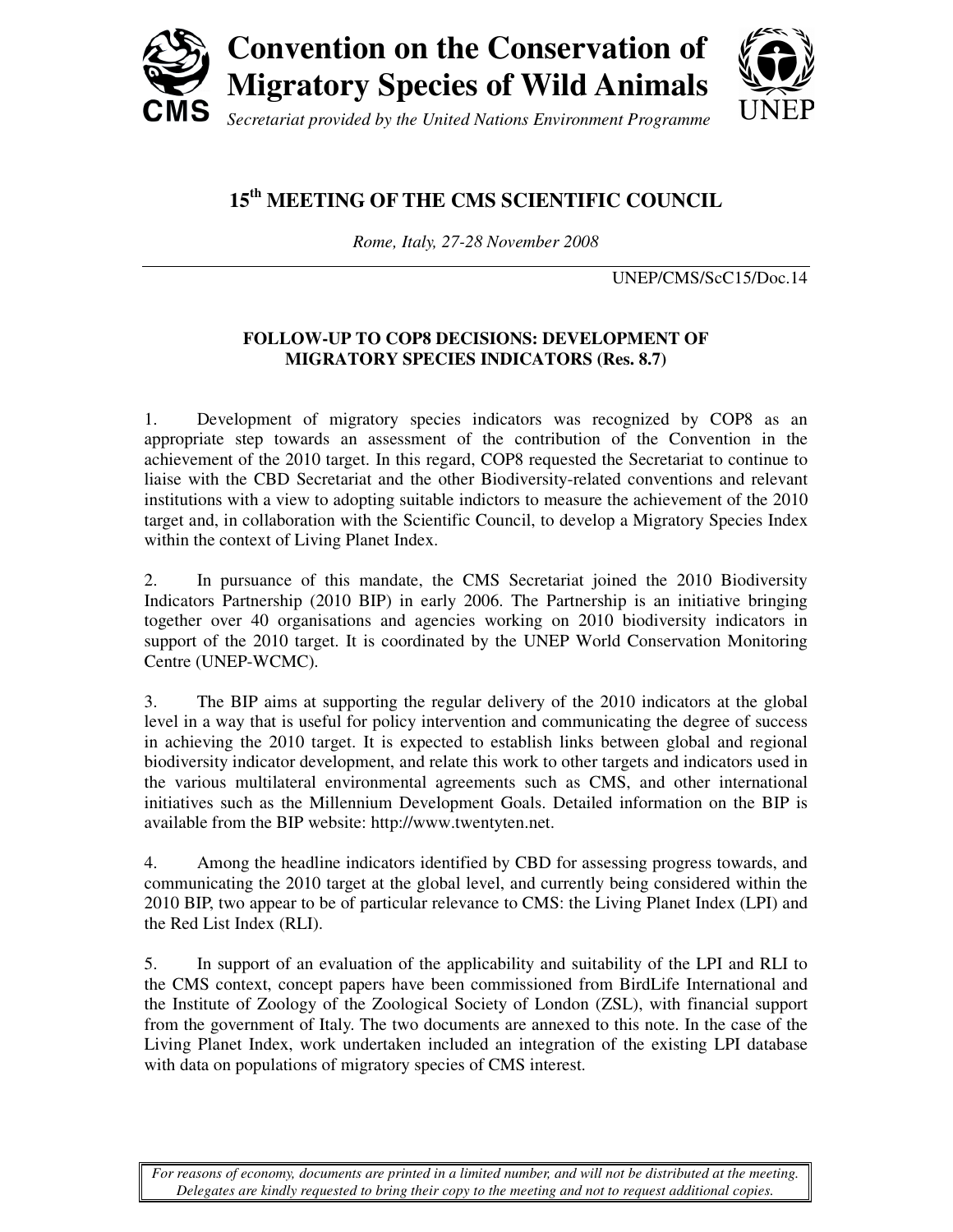

## **15th MEETING OF THE CMS SCIENTIFIC COUNCIL**

*Rome, Italy, 27-28 November 2008* 

UNEP/CMS/ScC15/Doc.14

## **FOLLOW-UP TO COP8 DECISIONS: DEVELOPMENT OF MIGRATORY SPECIES INDICATORS (Res. 8.7)**

1. Development of migratory species indicators was recognized by COP8 as an appropriate step towards an assessment of the contribution of the Convention in the achievement of the 2010 target. In this regard, COP8 requested the Secretariat to continue to liaise with the CBD Secretariat and the other Biodiversity-related conventions and relevant institutions with a view to adopting suitable indictors to measure the achievement of the 2010 target and, in collaboration with the Scientific Council, to develop a Migratory Species Index within the context of Living Planet Index.

2. In pursuance of this mandate, the CMS Secretariat joined the 2010 Biodiversity Indicators Partnership (2010 BIP) in early 2006. The Partnership is an initiative bringing together over 40 organisations and agencies working on 2010 biodiversity indicators in support of the 2010 target. It is coordinated by the UNEP World Conservation Monitoring Centre (UNEP-WCMC).

3. The BIP aims at supporting the regular delivery of the 2010 indicators at the global level in a way that is useful for policy intervention and communicating the degree of success in achieving the 2010 target. It is expected to establish links between global and regional biodiversity indicator development, and relate this work to other targets and indicators used in the various multilateral environmental agreements such as CMS, and other international initiatives such as the Millennium Development Goals. Detailed information on the BIP is available from the BIP website: http://www.twentyten.net.

4. Among the headline indicators identified by CBD for assessing progress towards, and communicating the 2010 target at the global level, and currently being considered within the 2010 BIP, two appear to be of particular relevance to CMS: the Living Planet Index (LPI) and the Red List Index (RLI).

5. In support of an evaluation of the applicability and suitability of the LPI and RLI to the CMS context, concept papers have been commissioned from BirdLife International and the Institute of Zoology of the Zoological Society of London (ZSL), with financial support from the government of Italy. The two documents are annexed to this note. In the case of the Living Planet Index, work undertaken included an integration of the existing LPI database with data on populations of migratory species of CMS interest.

*For reasons of economy, documents are printed in a limited number, and will not be distributed at the meeting. Delegates are kindly requested to bring their copy to the meeting and not to request additional copies.*